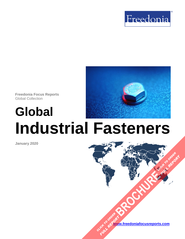

**Freedonia Focus Reports** Global Collection

# **Global Industrial Fasteners**

**January 2020**

**[www.freedoniafocusreports.com](https://www.freedoniafocusreports.com/redirect.asp?progid=89534&url=/)** CLICK TO ORDER **FULL REPORT** 

**[BROCHURE](https://www.freedoniafocusreports.com/Global-Industrial-Fasteners-FW70011/?progid=89541) CLICK TO ORDER** 

**FULL REPORT**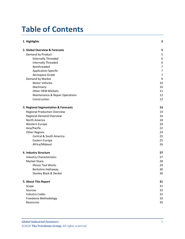# **Table of Contents**

| 1. Highlights                        | 3              |
|--------------------------------------|----------------|
| 2. Global Overview & Forecasts       | 5              |
| Demand by Product                    | 5              |
| <b>Externally Threaded</b>           | 6              |
| <b>Internally Threaded</b>           | 6              |
| Nonthreaded                          | $\overline{7}$ |
| Application-Specific                 | $\overline{7}$ |
| Aerospace-Grade                      | $\overline{7}$ |
| Demand by Market                     | 9              |
| <b>Motor Vehicles</b>                | 10             |
| Machinery                            | 10             |
| <b>Other OEM Markets</b>             | 11             |
| Maintenance & Repair Operations      | 12             |
| Construction                         | 12             |
| 3. Regional Segmentation & Forecasts | 14             |
| <b>Regional Production Overview</b>  | 14             |
| <b>Regional Demand Overview</b>      | 16             |
| North America                        | 18             |
| Western Europe                       | 20             |
| Asia/Pacific                         | 22             |
| <b>Other Regions</b>                 | 24             |
| Central & South America              | 25             |
| Eastern Europe                       | 25             |
| Africa/Mideast                       | 26             |
| 4. Industry Structure                | 27             |
| <b>Industry Characteristics</b>      | 27             |
| <b>Market Share</b>                  | 28             |
| <b>Illinois Tool Works</b>           | 29             |
| Berkshire Hathaway                   | 30             |
| Stanley Black & Decker               | 30             |
| 5. About This Report                 | 31             |
| Scope                                | 31             |
| Sources                              | 32             |
| <b>Industry Codes</b>                | 32             |
| Freedonia Methodology                | 33             |
| Resources                            | 35             |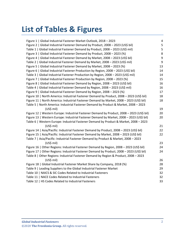# **List of Tables & Figures**

| Figure 1   Global Industrial Fastener Market Outlook, 2018 - 2023                         | $\overline{\mathbf{r}}$ |
|-------------------------------------------------------------------------------------------|-------------------------|
| Figure 2   Global Industrial Fastener Demand by Product, 2008 - 2023 (US\$ bil)           | 5                       |
| Table 1   Global Industrial Fastener Demand by Product, 2008 - 2023 (US\$ mil)            | 5                       |
| Figure 3   Global Industrial Fastener Demand by Product, 2008 - 2023 (%)                  | 8                       |
| Figure 4   Global Industrial Fastener Demand by Market, 2008 - 2023 (US\$ bil)            | 9                       |
| Table 2   Global Industrial Fastener Demand by Market, 2008 - 2023 (US\$ mil)             | 9                       |
| Figure 5   Global Industrial Fastener Demand by Market, 2008 - 2023 (%)                   | 13                      |
| Figure 6   Global Industrial Fastener Production by Region, 2008 - 2023 (US\$ bil)        | 14                      |
| Table 3   Global Industrial Fastener Production by Region, 2008 - 2023 (US\$ mil)         | 14                      |
| Figure 7   Global Industrial Fastener Production by Region, 2008 - 2023 (%)               | 15                      |
| Figure 8   Global Industrial Fastener Demand by Region, 2008 - 2023 (US\$ bil)            | 16                      |
| Table 4   Global Industrial Fastener Demand by Region, 2008 - 2023 (US\$ mil)             | 16                      |
| Figure 9   Global Industrial Fastener Demand by Region, 2008 - 2023 (%)                   | 17                      |
| Figure 10   North America: Industrial Fastener Demand by Product, 2008 - 2023 (US\$ bil)  | 18                      |
| Figure 11   North America: Industrial Fastener Demand by Market, 2008 - 2023 (US\$ bil)   | 18                      |
| Table 5   North America: Industrial Fastener Demand by Product & Market, 2008 - 2023      |                         |
| (US\$ mil)                                                                                | 19                      |
| Figure 12   Western Europe: Industrial Fastener Demand by Product, 2008 - 2023 (US\$ bil) | 20                      |
| Figure 13   Western Europe: Industrial Fastener Demand by Market, 2008 - 2023 (US\$ bil)  | 20                      |
| Table 6   Western Europe: Industrial Fastener Demand by Product & Market, 2008 - 2023     |                         |
| $(US$)$ mil)                                                                              | 21                      |
| Figure 14   Asia/Pacific: Industrial Fastener Demand by Product, 2008 - 2023 (US\$ bil)   | 22                      |
| Figure 15   Asia/Pacific: Industrial Fastener Demand by Market, 2008 - 2023 (US\$ bil)    | 22                      |
| Table 7   Asia/Pacific: Industrial Fastener Demand by Product & Market, 2008 - 2023       |                         |
| $(US$)$ mil)                                                                              | 23                      |
| Figure 16   Other Regions: Industrial Fastener Demand by Region, 2008 - 2023 (US\$ bil)   | 24                      |
| Figure 17   Other Regions: Industrial Fastener Demand by Product, 2008 - 2023 (US\$ bil)  | 24                      |
| Table 8   Other Regions: Industrial Fastener Demand by Region & Product, 2008 - 2023      |                         |
| (US\$ mil)                                                                                | 26                      |
| Figure 18   Global Industrial Fastener Market Share by Company, 2018 (%)                  | 28                      |
| Table 9   Leading Suppliers to the Global Industrial Fastener Market                      | 29                      |
| Table 10   NAICS & SIC Codes Related to Industrial Fasteners                              | 32                      |
| Table 11   NACE Codes Related to Industrial Fasteners                                     | 32                      |
| Table 12   HS Codes Related to Industrial Fasteners                                       | 33                      |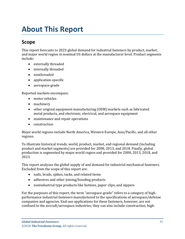# <span id="page-3-1"></span><span id="page-3-0"></span>**Scope**

This report forecasts to 2023 global demand for industrial fasteners by product, market, and major world region in nominal US dollars at the manufacturer level. Product segments include:

- externally threaded
- internally threaded
- nonthreaded
- application-specific
- aerospace-grade

Reported markets encompass:

- motor vehicles
- machinery
- other original equipment manufacturing (OEM) markets such as fabricated metal products, and electronic, electrical, and aerospace equipment
- maintenance and repair operations
- construction

Major world regions include North America, Western Europe, Asia/Pacific, and all other regions.

To illustrate historical trends, world, product, market, and regional demand (including product and market segments) are provided for 2008, 2013, and 2018. Finally, global production is segmented by major world region and provided for 2008, 2013, 2018, and 2023.

This report analyzes the global supply of and demand for industrial mechanical fasteners. Excluded from the scope of this report are:

- nails, brads, spikes, tacks, and related items
- adhesives and other joining/bonding products
- nonindustrial type products like buttons, paper clips, and zippers

For the purposes of this report, the term "aerospace-grade" refers to a category of highperformance industrial fasteners manufactured to the specifications of aerospace/defense companies and agencies. End-use applications for these fasteners, however, are not confined to the aircraft/aerospace industries; they can also include construction, high-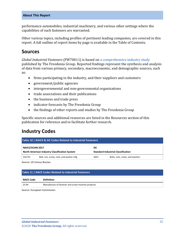performance automobiles, industrial machinery, and various other settings where the capabilities of such fasteners are warranted.

Other various topics, including profiles of pertinent leading companies, are covered in this report. A full outline of report items by page is available in the Table of Contents.

### <span id="page-4-0"></span>**Sources**

*Global Industrial Fasteners* (FW70011) is based on [a comprehensive industry study](http://www.freedoniagroup.com/DocumentDetails.aspx?ReferrerId=FL-FOCUS&studyid=3765) published by The Freedonia Group. Reported findings represent the synthesis and analysis of data from various primary, secondary, macroeconomic, and demographic sources, such as:

- firms participating in the industry, and their suppliers and customers
- government/public agencies
- intergovernmental and non-governmental organizations
- trade associations and their publications
- the business and trade press
- indicator forecasts by The Freedonia Group
- the findings of other reports and studies by The Freedonia Group

Specific sources and additional resources are listed in the Resources section of this publication for reference and to facilitate further research.

### <span id="page-4-1"></span>**Industry Codes**

<span id="page-4-2"></span>

| Table 10   NAICS & SIC Codes Related to Industrial Fasteners |                                                      |            |                                           |  |
|--------------------------------------------------------------|------------------------------------------------------|------------|-------------------------------------------|--|
| <b>NAICS/SCIAN 2017</b>                                      |                                                      | <b>SIC</b> |                                           |  |
|                                                              | <b>North American Industry Classification System</b> |            | <b>Standard Industrial Classification</b> |  |
| 332722                                                       | Bolt, nut, screw, rivet, and washer mfg              | 3452       | Bolts, nuts, rivets, and washers          |  |

Source: US Census Bureau

#### <span id="page-4-3"></span>**Table 11 | NACE Codes Related to Industrial Fasteners**

| NACE Code ! | <b>Definition</b>                                  |
|-------------|----------------------------------------------------|
| 25.94       | Manufacture of fastener and screw machine products |

Source: European Commission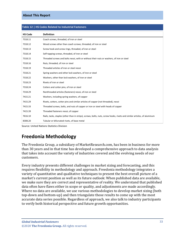| <b>HS Code</b> | <b>Definition</b>                                                                                                        |
|----------------|--------------------------------------------------------------------------------------------------------------------------|
| 7318.11        | Coach screws, threaded, of iron or steel                                                                                 |
| 7318.12        | Wood screws other than coach screws, threaded, of iron or steel                                                          |
| 7318.13        | Screw hook and screw rings, threaded, of iron or steel                                                                   |
| 7318.14        | Self-tapping screws, threaded, of iron or steel                                                                          |
| 7318.15        | Threaded screws and bolts nesoi, with or without their nuts or washers, of iron or steel                                 |
| 7318.16        | Nuts, threaded, of iron or steel                                                                                         |
| 7318.19        | Threaded articles of iron or steel nesoi                                                                                 |
| 7318.21        | Spring washers and other lock washers, of iron or steel                                                                  |
| 7318.22        | Washers, other than lock washers, of iron or steel                                                                       |
| 7318.23        | Rivets of iron or steel                                                                                                  |
| 7318.24        | Cotters and cotter pins, of iron or steel                                                                                |
| 7318.29        | Nonthreaded articles (fasteners) nesoi, of iron or steel                                                                 |
| 7415.21        | Washers, including spring washers, of copper                                                                             |
| 7415.29        | Rivets, cotters, cotter pins and similar articles of copper (not threaded), nesoi                                        |
| 7415.33        | Threaded screws, bolts, and nuts of copper or iron or steel with heads of copper                                         |
| 7415.39        | Threaded fasteners nesoi, of copper                                                                                      |
| 7616.10        | Nails, tacks, staples (other than in strips), screws, bolts, nuts, screw hooks, rivets and similar articles, of aluminum |
| 8308.20        | Tubular or bifurcated rivets, of base metal                                                                              |

#### <span id="page-5-1"></span>**Table 12 | HS Codes Related to Industrial Fasteners**

Source: United Nations Statistics Division

# <span id="page-5-0"></span>**Freedonia Methodology**

The Freedonia Group, a subsidiary of MarketResearch.com, has been in business for more than 30 years and in that time has developed a comprehensive approach to data analysis that takes into account the variety of industries covered and the evolving needs of our customers.

Every industry presents different challenges in market sizing and forecasting, and this requires flexibility in methodology and approach. Freedonia methodology integrates a variety of quantitative and qualitative techniques to present the best overall picture of a market's current position as well as its future outlook: When published data are available, we make sure they are correct and representative of reality. We understand that published data often have flaws either in scope or quality, and adjustments are made accordingly. Where no data are available, we use various methodologies to develop market sizing (both top-down and bottom-up) and then triangulate those results to come up with the most accurate data series possible. Regardless of approach, we also talk to industry participants to verify both historical perspective and future growth opportunities.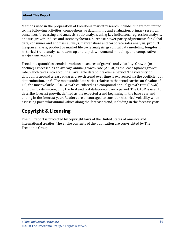Methods used in the preparation of Freedonia market research include, but are not limited to, the following activities: comprehensive data mining and evaluation, primary research, consensus forecasting and analysis, ratio analysis using key indicators, regression analysis, end use growth indices and intensity factors, purchase power parity adjustments for global data, consumer and end user surveys, market share and corporate sales analysis, product lifespan analysis, product or market life cycle analysis, graphical data modeling, long-term historical trend analysis, bottom-up and top-down demand modeling, and comparative market size ranking.

Freedonia quantifies trends in various measures of growth and volatility. Growth (or decline) expressed as an average annual growth rate (AAGR) is the least squares growth rate, which takes into account all available datapoints over a period. The volatility of datapoints around a least squares growth trend over time is expressed via the coefficient of determination, or  $r^2$ . The most stable data series relative to the trend carries an  $r^2$  value of 1.0; the most volatile – 0.0. Growth calculated as a compound annual growth rate (CAGR) employs, by definition, only the first and last datapoints over a period. The CAGR is used to describe forecast growth, defined as the expected trend beginning in the base year and ending in the forecast year. Readers are encouraged to consider historical volatility when assessing particular annual values along the forecast trend, including in the forecast year.

# **Copyright & Licensing**

The full report is protected by copyright laws of the United States of America and international treaties. The entire contents of the publication are copyrighted by The Freedonia Group.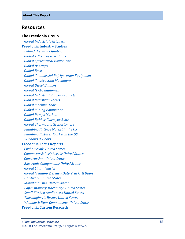### <span id="page-7-0"></span>**Resources**

#### **The Freedonia Group**

 *[Global Industrial Fasteners](http://www.freedoniagroup.com/DocumentDetails.aspx?ReferrerId=FL-FOCUS&studyid=3765)* **[Freedonia Industry Studies](http://www.freedoniagroup.com/Home.aspx?ReferrerId=FL-Focus)**  *[Behind the Wall Plumbing](http://www.freedoniagroup.com/DocumentDetails.aspx?ReferrerId=FL-FOCUS&studyid=3642) [Global Adhesives & Sealants](http://www.freedoniagroup.com/DocumentDetails.aspx?ReferrerId=FL-FOCUS&studyid=3715) [Global Agricultural Equipment](http://www.freedoniagroup.com/DocumentDetails.aspx?ReferrerId=FL-FOCUS&studyid=3683) [Global Bearings](http://www.freedoniagroup.com/DocumentDetails.aspx?ReferrerId=FL-FOCUS&studyid=3684) [Global Buses](http://www.freedoniagroup.com/DocumentDetails.aspx?ReferrerId=FL-FOCUS&studyid=3733) [Global Commercial Refrigeration Equipment](http://www.freedoniagroup.com/DocumentDetails.aspx?ReferrerId=FL-FOCUS&studyid=3658) [Global Construction Machinery](http://www.freedoniagroup.com/DocumentDetails.aspx?ReferrerId=FL-FOCUS&studyid=3728) [Global Diesel Engines](http://www.freedoniagroup.com/DocumentDetails.aspx?ReferrerId=FL-FOCUS&studyid=3734) [Global HVAC Equipment](http://www.freedoniagroup.com/DocumentDetails.aspx?ReferrerId=FL-FOCUS&studyid=3652) [Global Industrial Rubber Products](http://www.freedoniagroup.com/DocumentDetails.aspx?ReferrerId=FL-FOCUS&studyid=3605) [Global Industrial Valves](http://www.freedoniagroup.com/DocumentDetails.aspx?ReferrerId=FL-FOCUS&studyid=3776) [Global Machine Tools](http://www.freedoniagroup.com/DocumentDetails.aspx?ReferrerId=FL-FOCUS&studyid=3806) [Global Mining Equipment](http://www.freedoniagroup.com/DocumentDetails.aspx?ReferrerId=FL-FOCUS&studyid=3629) [Global Pumps Market](http://www.freedoniagroup.com/DocumentDetails.aspx?ReferrerId=FL-FOCUS&studyid=3625) [Global Rubber Conveyor Belts](http://www.freedoniagroup.com/DocumentDetails.aspx?ReferrerId=FL-FOCUS&studyid=3689) [Global Thermoplastic Elastomers](http://www.freedoniagroup.com/DocumentDetails.aspx?ReferrerId=FL-FOCUS&studyid=3633) [Plumbing Fittings Market in the US](http://www.freedoniagroup.com/DocumentDetails.aspx?ReferrerId=FL-FOCUS&studyid=3546) [Plumbing Fixtures Market in the US](http://www.freedoniagroup.com/DocumentDetails.aspx?ReferrerId=FL-FOCUS&studyid=3545) [Windows & Doors](http://www.freedoniagroup.com/DocumentDetails.aspx?ReferrerId=FL-FOCUS&studyid=3726)* **[Freedonia Focus Reports](https://www.freedoniafocusreports.com/redirect.asp?progid=89534&url=/)**  *[Civil Aircraft: United States](https://www.freedoniafocusreports.com/Civil-Aircraft-United-States-FF85011/?progid=89534) [Computers & Peripherals: United States](https://www.freedoniafocusreports.com/Computers-Peripherals-United-States-FF80047/?progid=89534) [Construction: United States](https://www.freedoniafocusreports.com/Construction-United-States-FF60054/?progid=89534) [Electronic Components: United States](https://www.freedoniafocusreports.com/Electronic-Components-United-States-FF80018/?progid=89534) [Global Light Vehicles](https://www.freedoniafocusreports.com/Global-Light-Vehicles-FW85015/?progid=89534) Global Medium - & Heavy [-Duty Trucks & Buses](https://www.freedoniafocusreports.com/Global-Medium-Heavy-Duty-Trucks-Buses-FW85014/?progid=89534) [Hardware: United States](https://www.freedoniafocusreports.com/Hardware-United-States-FF60063/?progid=89534) [Manufacturing: United States](https://www.freedoniafocusreports.com/Manufacturing-United-States-FF70032/?progid=89534) [Paper Industry Machinery: United States](https://www.freedoniafocusreports.com/Paper-Industry-Machinery-United-States-FF75023/?progid=89534) [Small Kitchen Appliances: United States](https://www.freedoniafocusreports.com/Small-Kitchen-Appliances-United-States-FF90029/?progid=89534) [Thermoplastic Resins: United States](https://www.freedoniafocusreports.com/Thermoplastic-Resins-United-States-FF55046/?progid=89534) [Window & Door Components: United States](https://www.freedoniafocusreports.com/Window-Door-Components-United-States-FF60120/?progid=89534)*

#### **[Freedonia Custom Research](http://www.freedoniagroup.com/CustomResearch.aspx?ReferrerId=FL-Focus)**